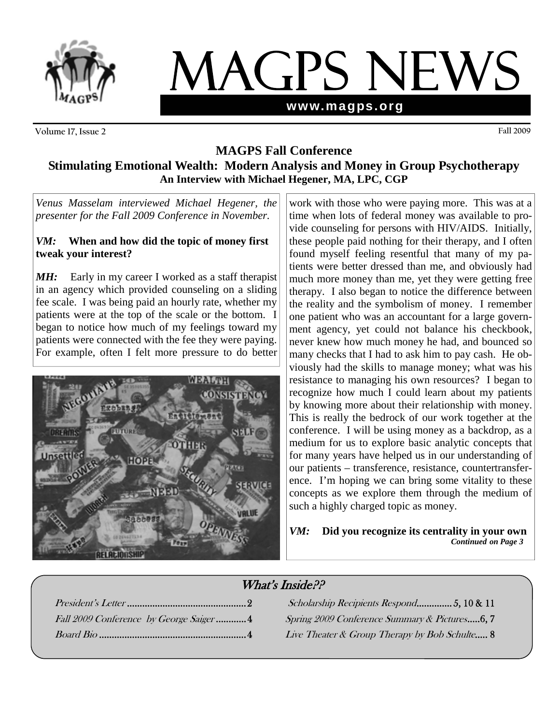

# MAGPS NEWS **www.magps.org**

**Volume 17, Issue 2 Fall 2009** 

### **MAGPS Fall Conference Stimulating Emotional Wealth: Modern Analysis and Money in Group Psychotherapy An Interview with Michael Hegener, MA, LPC, CGP**

*Venus Masselam interviewed Michael Hegener, the presenter for the Fall 2009 Conference in November.* 

### *VM:* **When and how did the topic of money first tweak your interest?**

**MH:** Early in my career I worked as a staff therapist in an agency which provided counseling on a sliding fee scale. I was being paid an hourly rate, whether my patients were at the top of the scale or the bottom. I began to notice how much of my feelings toward my patients were connected with the fee they were paying. For example, often I felt more pressure to do better



work with those who were paying more. This was at a time when lots of federal money was available to provide counseling for persons with HIV/AIDS. Initially, these people paid nothing for their therapy, and I often found myself feeling resentful that many of my patients were better dressed than me, and obviously had much more money than me, yet they were getting free therapy. I also began to notice the difference between the reality and the symbolism of money. I remember one patient who was an accountant for a large government agency, yet could not balance his checkbook, never knew how much money he had, and bounced so many checks that I had to ask him to pay cash. He obviously had the skills to manage money; what was his resistance to managing his own resources? I began to recognize how much I could learn about my patients by knowing more about their relationship with money. This is really the bedrock of our work together at the conference. I will be using money as a backdrop, as a medium for us to explore basic analytic concepts that for many years have helped us in our understanding of our patients – transference, resistance, countertransference. I'm hoping we can bring some vitality to these concepts as we explore them through the medium of such a highly charged topic as money.

### *VM:* **Did you recognize its centrality in your own** *Continued on Page 3*

# What's Inside??

| Fall 2009 Conference by George Saiger4 |
|----------------------------------------|
|                                        |

President's Letter ...............................................2 Scholarship Recipients Respond.............. 5, 10 & 11 Spring 2009 Conference Summary & Pictures.....6, 7 Live Theater & Group Therapy by Bob Schulte..... 8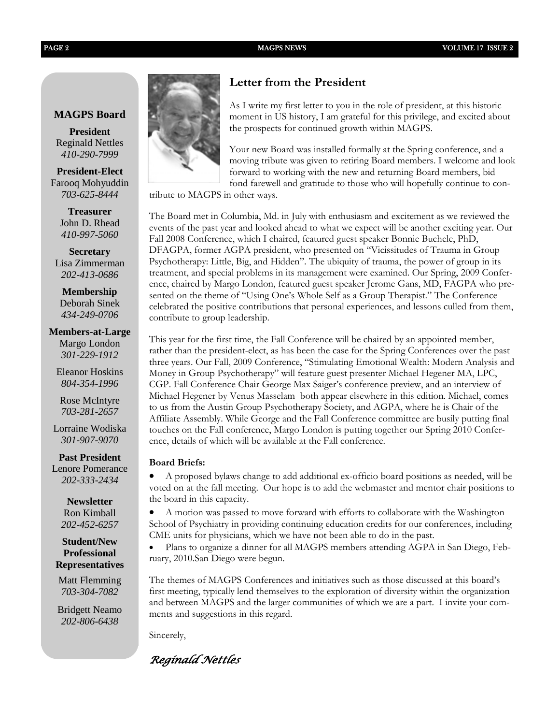### **MAGPS Board**

**President**  Reginald Nettles *410-290-7999* 

**President-Elect**  Farooq Mohyuddin *703-625-8444* 

> **Treasurer** John D. Rhead *410-997-5060*

**Secretary**  Lisa Zimmerman *202-413-0686* 

**Membership**  Deborah Sinek *434-249-0706* 

**Members-at-Large** Margo London

*301-229-1912* 

Eleanor Hoskins *804-354-1996* 

Rose McIntyre *703-281-2657* 

Lorraine Wodiska *301-907-9070* 

**Past President**  Lenore Pomerance

 *202-333-2434*

**Newsletter**  Ron Kimball *202-452-6257*

**Student/New Professional Representatives** 

Matt Flemming *703-304-7082* 

Bridgett Neamo *202-806-6438*



### **Letter from the President**

As I write my first letter to you in the role of president, at this historic moment in US history, I am grateful for this privilege, and excited about the prospects for continued growth within MAGPS.

Your new Board was installed formally at the Spring conference, and a moving tribute was given to retiring Board members. I welcome and look forward to working with the new and returning Board members, bid fond farewell and gratitude to those who will hopefully continue to con-

tribute to MAGPS in other ways.

The Board met in Columbia, Md. in July with enthusiasm and excitement as we reviewed the events of the past year and looked ahead to what we expect will be another exciting year. Our Fall 2008 Conference, which I chaired, featured guest speaker Bonnie Buchele, PhD, DFAGPA, former AGPA president, who presented on "Vicissitudes of Trauma in Group Psychotherapy: Little, Big, and Hidden". The ubiquity of trauma, the power of group in its treatment, and special problems in its management were examined. Our Spring, 2009 Conference, chaired by Margo London, featured guest speaker Jerome Gans, MD, FAGPA who presented on the theme of "Using One's Whole Self as a Group Therapist." The Conference celebrated the positive contributions that personal experiences, and lessons culled from them, contribute to group leadership.

This year for the first time, the Fall Conference will be chaired by an appointed member, rather than the president-elect, as has been the case for the Spring Conferences over the past three years. Our Fall, 2009 Conference, "Stimulating Emotional Wealth: Modern Analysis and Money in Group Psychotherapy" will feature guest presenter Michael Hegener MA, LPC, CGP. Fall Conference Chair George Max Saiger's conference preview, and an interview of Michael Hegener by Venus Masselam both appear elsewhere in this edition. Michael, comes to us from the Austin Group Psychotherapy Society, and AGPA, where he is Chair of the Affiliate Assembly. While George and the Fall Conference committee are busily putting final touches on the Fall conference, Margo London is putting together our Spring 2010 Conference, details of which will be available at the Fall conference.

### **Board Briefs:**

• A proposed bylaws change to add additional ex-officio board positions as needed, will be voted on at the fall meeting. Our hope is to add the webmaster and mentor chair positions to the board in this capacity.

• A motion was passed to move forward with efforts to collaborate with the Washington School of Psychiatry in providing continuing education credits for our conferences, including CME units for physicians, which we have not been able to do in the past.

• Plans to organize a dinner for all MAGPS members attending AGPA in San Diego, February, 2010.San Diego were begun.

The themes of MAGPS Conferences and initiatives such as those discussed at this board's first meeting, typically lend themselves to the exploration of diversity within the organization and between MAGPS and the larger communities of which we are a part. I invite your comments and suggestions in this regard.

Sincerely,

*Reginald Nettles*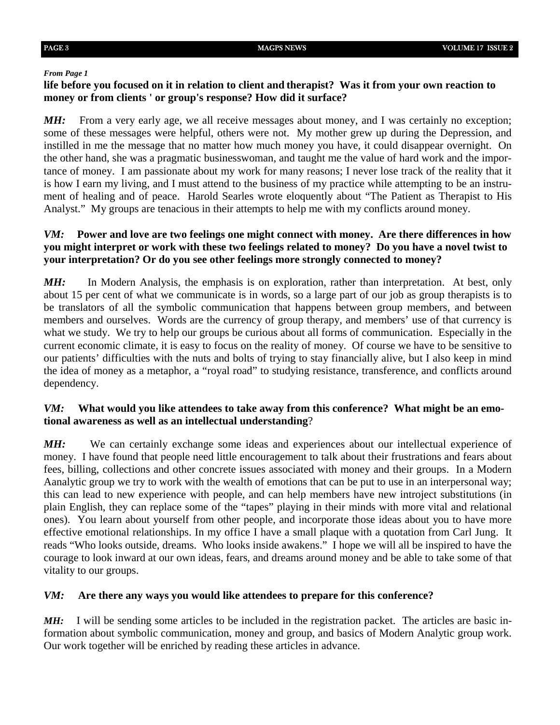### *From Page 1*

### **life before you focused on it in relation to client and therapist? Was it from your own reaction to money or from clients ' or group's response? How did it surface?**

*MH*: From a very early age, we all receive messages about money, and I was certainly no exception; some of these messages were helpful, others were not. My mother grew up during the Depression, and instilled in me the message that no matter how much money you have, it could disappear overnight. On the other hand, she was a pragmatic businesswoman, and taught me the value of hard work and the importance of money. I am passionate about my work for many reasons; I never lose track of the reality that it is how I earn my living, and I must attend to the business of my practice while attempting to be an instrument of healing and of peace. Harold Searles wrote eloquently about "The Patient as Therapist to His Analyst." My groups are tenacious in their attempts to help me with my conflicts around money.

### *VM:* **Power and love are two feelings one might connect with money. Are there differences in how you might interpret or work with these two feelings related to money? Do you have a novel twist to your interpretation? Or do you see other feelings more strongly connected to money?**

*MH*: In Modern Analysis, the emphasis is on exploration, rather than interpretation. At best, only about 15 per cent of what we communicate is in words, so a large part of our job as group therapists is to be translators of all the symbolic communication that happens between group members, and between members and ourselves. Words are the currency of group therapy, and members' use of that currency is what we study. We try to help our groups be curious about all forms of communication. Especially in the current economic climate, it is easy to focus on the reality of money. Of course we have to be sensitive to our patients' difficulties with the nuts and bolts of trying to stay financially alive, but I also keep in mind the idea of money as a metaphor, a "royal road" to studying resistance, transference, and conflicts around dependency.

### *VM:* **What would you like attendees to take away from this conference? What might be an emotional awareness as well as an intellectual understanding**?

*MH*: We can certainly exchange some ideas and experiences about our intellectual experience of money. I have found that people need little encouragement to talk about their frustrations and fears about fees, billing, collections and other concrete issues associated with money and their groups. In a Modern Aanalytic group we try to work with the wealth of emotions that can be put to use in an interpersonal way; this can lead to new experience with people, and can help members have new introject substitutions (in plain English, they can replace some of the "tapes" playing in their minds with more vital and relational ones). You learn about yourself from other people, and incorporate those ideas about you to have more effective emotional relationships. In my office I have a small plaque with a quotation from Carl Jung. It reads "Who looks outside, dreams. Who looks inside awakens." I hope we will all be inspired to have the courage to look inward at our own ideas, fears, and dreams around money and be able to take some of that vitality to our groups.

### *VM:* **Are there any ways you would like attendees to prepare for this conference?**

*MH:* I will be sending some articles to be included in the registration packet. The articles are basic information about symbolic communication, money and group, and basics of Modern Analytic group work. Our work together will be enriched by reading these articles in advance.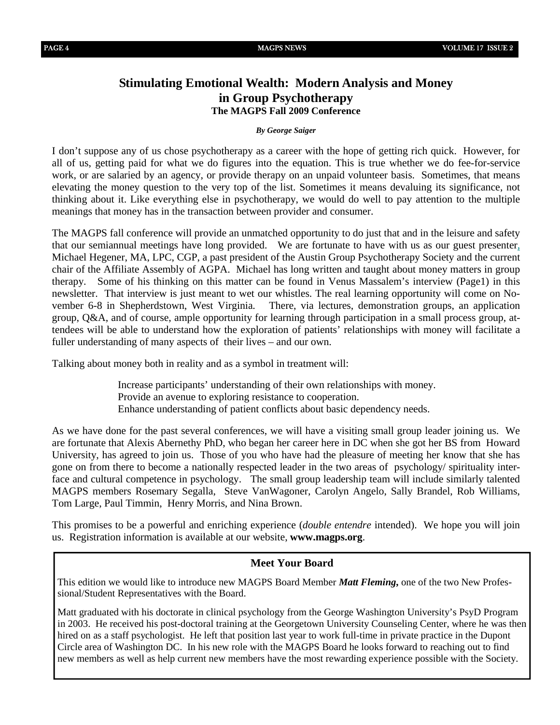### **Stimulating Emotional Wealth: Modern Analysis and Money in Group Psychotherapy The MAGPS Fall 2009 Conference**

### *By George Saiger*

I don't suppose any of us chose psychotherapy as a career with the hope of getting rich quick. However, for all of us, getting paid for what we do figures into the equation. This is true whether we do fee-for-service work, or are salaried by an agency, or provide therapy on an unpaid volunteer basis. Sometimes, that means elevating the money question to the very top of the list. Sometimes it means devaluing its significance, not thinking about it. Like everything else in psychotherapy, we would do well to pay attention to the multiple meanings that money has in the transaction between provider and consumer.

The MAGPS fall conference will provide an unmatched opportunity to do just that and in the leisure and safety that our semiannual meetings have long provided. We are fortunate to have with us as our guest presenter, Michael Hegener, MA, LPC, CGP, a past president of the Austin Group Psychotherapy Society and the current chair of the Affiliate Assembly of AGPA. Michael has long written and taught about money matters in group therapy. Some of his thinking on this matter can be found in Venus Massalem's interview (Page1) in this newsletter. That interview is just meant to wet our whistles. The real learning opportunity will come on November 6-8 in Shepherdstown, West Virginia. There, via lectures, demonstration groups, an application group, Q&A, and of course, ample opportunity for learning through participation in a small process group, attendees will be able to understand how the exploration of patients' relationships with money will facilitate a fuller understanding of many aspects of their lives – and our own.

Talking about money both in reality and as a symbol in treatment will:

Increase participants' understanding of their own relationships with money. Provide an avenue to exploring resistance to cooperation. Enhance understanding of patient conflicts about basic dependency needs.

As we have done for the past several conferences, we will have a visiting small group leader joining us. We are fortunate that Alexis Abernethy PhD, who began her career here in DC when she got her BS from Howard University, has agreed to join us. Those of you who have had the pleasure of meeting her know that she has gone on from there to become a nationally respected leader in the two areas of psychology/ spirituality interface and cultural competence in psychology. The small group leadership team will include similarly talented MAGPS members Rosemary Segalla, Steve VanWagoner, Carolyn Angelo, Sally Brandel, Rob Williams, Tom Large, Paul Timmin, Henry Morris, and Nina Brown.

This promises to be a powerful and enriching experience (*double entendre* intended). We hope you will join us. Registration information is available at our website, **www.magps.org**.

### **Meet Your Board**

This edition we would like to introduce new MAGPS Board Member *Matt Fleming***,** one of the two New Professional/Student Representatives with the Board.

Matt graduated with his doctorate in clinical psychology from the George Washington University's PsyD Program in 2003. He received his post-doctoral training at the Georgetown University Counseling Center, where he was then hired on as a staff psychologist. He left that position last year to work full-time in private practice in the Dupont Circle area of Washington DC. In his new role with the MAGPS Board he looks forward to reaching out to find new members as well as help current new members have the most rewarding experience possible with the Society.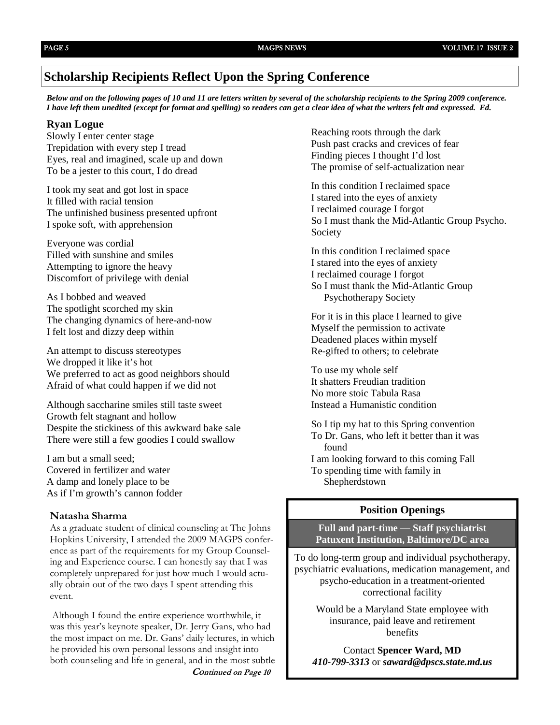### **Scholarship Recipients Reflect Upon the Spring Conference**

*Below and on the following pages of 10 and 11 are letters written by several of the scholarship recipients to the Spring 2009 conference. I have left them unedited (except for format and spelling) so readers can get a clear idea of what the writers felt and expressed. Ed.* 

### **Ryan Logue**

Slowly I enter center stage Trepidation with every step I tread Eyes, real and imagined, scale up and down To be a jester to this court, I do dread

I took my seat and got lost in space It filled with racial tension The unfinished business presented upfront I spoke soft, with apprehension

Everyone was cordial Filled with sunshine and smiles Attempting to ignore the heavy Discomfort of privilege with denial

As I bobbed and weaved The spotlight scorched my skin The changing dynamics of here-and-now I felt lost and dizzy deep within

An attempt to discuss stereotypes We dropped it like it's hot We preferred to act as good neighbors should Afraid of what could happen if we did not

Although saccharine smiles still taste sweet Growth felt stagnant and hollow Despite the stickiness of this awkward bake sale There were still a few goodies I could swallow

I am but a small seed; Covered in fertilizer and water A damp and lonely place to be As if I'm growth's cannon fodder

### **Natasha Sharma**

As a graduate student of clinical counseling at The Johns Hopkins University, I attended the 2009 MAGPS conference as part of the requirements for my Group Counseling and Experience course. I can honestly say that I was completely unprepared for just how much I would actually obtain out of the two days I spent attending this event.

Although I found the entire experience worthwhile, it was this year's keynote speaker, Dr. Jerry Gans, who had the most impact on me. Dr. Gans' daily lectures, in which he provided his own personal lessons and insight into both counseling and life in general, and in the most subtle **Continued on Page 10** 

Reaching roots through the dark Push past cracks and crevices of fear Finding pieces I thought I'd lost The promise of self-actualization near

In this condition I reclaimed space I stared into the eyes of anxiety I reclaimed courage I forgot So I must thank the Mid-Atlantic Group Psycho. Society

In this condition I reclaimed space I stared into the eyes of anxiety I reclaimed courage I forgot So I must thank the Mid-Atlantic Group Psychotherapy Society

For it is in this place I learned to give Myself the permission to activate Deadened places within myself Re-gifted to others; to celebrate

To use my whole self It shatters Freudian tradition No more stoic Tabula Rasa Instead a Humanistic condition

So I tip my hat to this Spring convention To Dr. Gans, who left it better than it was found I am looking forward to this coming Fall To spending time with family in Shepherdstown

### **Position Openings**

**Full and part-time — Staff psychiatrist Patuxent Institution, Baltimore/DC area**

To do long-term group and individual psychotherapy, psychiatric evaluations, medication management, and psycho-education in a treatment-oriented correctional facility

Would be a Maryland State employee with insurance, paid leave and retirement benefits

Contact **Spencer Ward, MD**  *410-799-3313* or *saward@dpscs.state.md.us*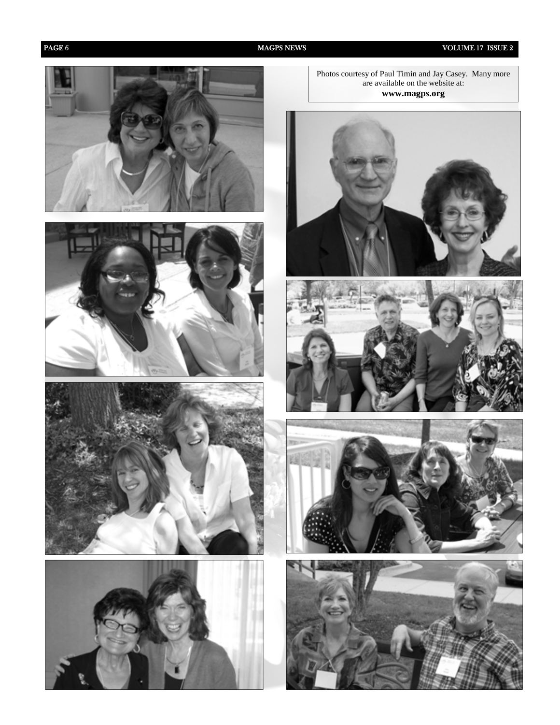PAGE 6 MAGPS NEWS MAGPS NEWS VOLUME 17 ISSUE 2









Photos courtesy of Paul Timin and Jay Casey. Many more are available on the website at: **www.magps.org** 







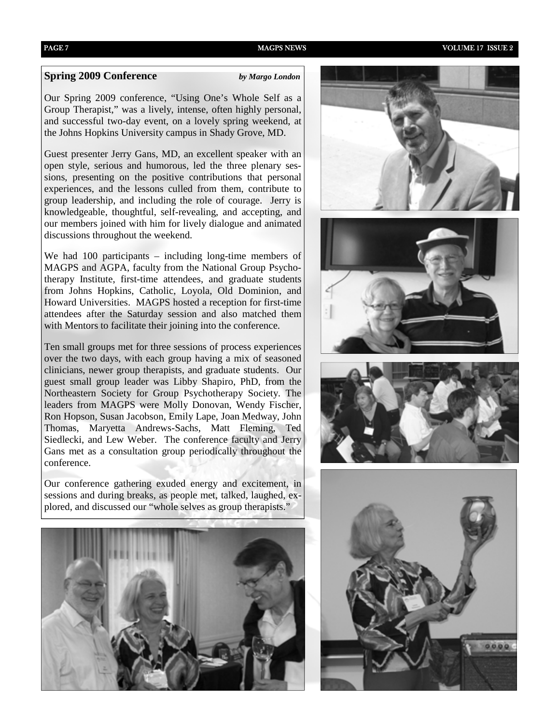### **Spring 2009 Conference** *by Margo London*

Our Spring 2009 conference, "Using One's Whole Self as a Group Therapist," was a lively, intense, often highly personal, and successful two-day event, on a lovely spring weekend, at the Johns Hopkins University campus in Shady Grove, MD.

Guest presenter Jerry Gans, MD, an excellent speaker with an open style, serious and humorous, led the three plenary sessions, presenting on the positive contributions that personal experiences, and the lessons culled from them, contribute to group leadership, and including the role of courage. Jerry is knowledgeable, thoughtful, self-revealing, and accepting, and our members joined with him for lively dialogue and animated discussions throughout the weekend.

We had 100 participants – including long-time members of MAGPS and AGPA, faculty from the National Group Psychotherapy Institute, first-time attendees, and graduate students from Johns Hopkins, Catholic, Loyola, Old Dominion, and Howard Universities. MAGPS hosted a reception for first-time attendees after the Saturday session and also matched them with Mentors to facilitate their joining into the conference.

Ten small groups met for three sessions of process experiences over the two days, with each group having a mix of seasoned clinicians, newer group therapists, and graduate students. Our guest small group leader was Libby Shapiro, PhD, from the Northeastern Society for Group Psychotherapy Society. The leaders from MAGPS were Molly Donovan, Wendy Fischer, Ron Hopson, Susan Jacobson, Emily Lape, Joan Medway, John Thomas, Maryetta Andrews-Sachs, Matt Fleming, Ted Siedlecki, and Lew Weber. The conference faculty and Jerry Gans met as a consultation group periodically throughout the conference.

Our conference gathering exuded energy and excitement, in sessions and during breaks, as people met, talked, laughed, explored, and discussed our "whole selves as group therapists."



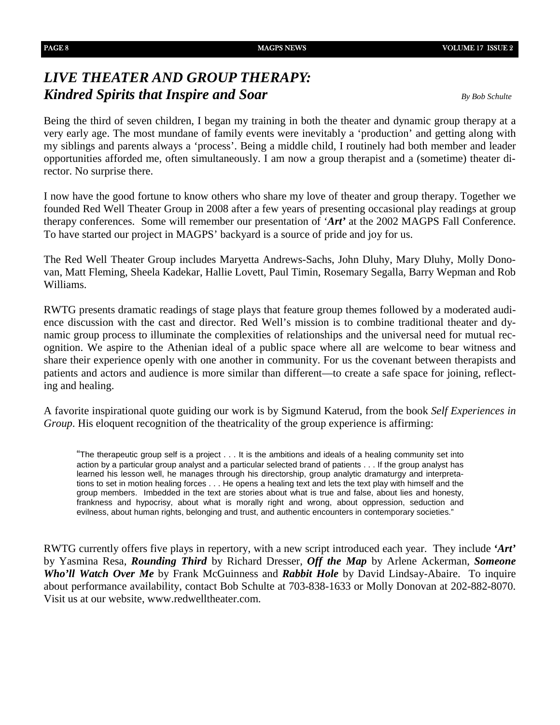## *LIVE THEATER AND GROUP THERAPY: Kindred Spirits that Inspire and Soar By Bob Schulte*

Being the third of seven children, I began my training in both the theater and dynamic group therapy at a very early age. The most mundane of family events were inevitably a 'production' and getting along with my siblings and parents always a 'process'. Being a middle child, I routinely had both member and leader opportunities afforded me, often simultaneously. I am now a group therapist and a (sometime) theater director. No surprise there.

I now have the good fortune to know others who share my love of theater and group therapy. Together we founded Red Well Theater Group in 2008 after a few years of presenting occasional play readings at group therapy conferences. Some will remember our presentation of '*Art'* at the 2002 MAGPS Fall Conference. To have started our project in MAGPS' backyard is a source of pride and joy for us.

The Red Well Theater Group includes Maryetta Andrews-Sachs, John Dluhy, Mary Dluhy, Molly Donovan, Matt Fleming, Sheela Kadekar, Hallie Lovett, Paul Timin, Rosemary Segalla, Barry Wepman and Rob Williams.

RWTG presents dramatic readings of stage plays that feature group themes followed by a moderated audience discussion with the cast and director. Red Well's mission is to combine traditional theater and dynamic group process to illuminate the complexities of relationships and the universal need for mutual recognition. We aspire to the Athenian ideal of a public space where all are welcome to bear witness and share their experience openly with one another in community. For us the covenant between therapists and patients and actors and audience is more similar than different—to create a safe space for joining, reflecting and healing.

A favorite inspirational quote guiding our work is by Sigmund Katerud, from the book *Self Experiences in Group*. His eloquent recognition of the theatricality of the group experience is affirming:

"The therapeutic group self is a project . . . It is the ambitions and ideals of a healing community set into action by a particular group analyst and a particular selected brand of patients . . . If the group analyst has learned his lesson well, he manages through his directorship, group analytic dramaturgy and interpretations to set in motion healing forces . . . He opens a healing text and lets the text play with himself and the group members. Imbedded in the text are stories about what is true and false, about lies and honesty, frankness and hypocrisy, about what is morally right and wrong, about oppression, seduction and evilness, about human rights, belonging and trust, and authentic encounters in contemporary societies."

RWTG currently offers five plays in repertory, with a new script introduced each year. They include *'Art'*  by Yasmina Resa, *Rounding Third* by Richard Dresser, *Off the Map* by Arlene Ackerman, *Someone Who'll Watch Over Me* by Frank McGuinness and *Rabbit Hole* by David Lindsay-Abaire. To inquire about performance availability, contact Bob Schulte at 703-838-1633 or Molly Donovan at 202-882-8070. Visit us at our website, www.redwelltheater.com.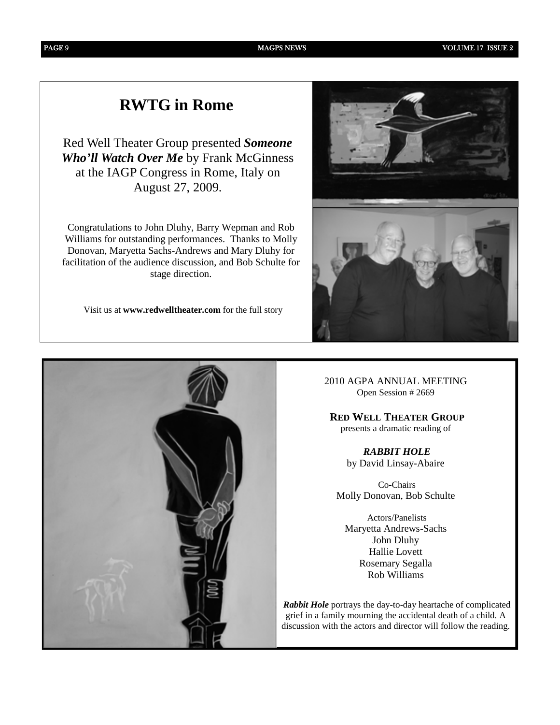# **RWTG in Rome**

Red Well Theater Group presented *Someone Who'll Watch Over Me* by Frank McGinness at the IAGP Congress in Rome, Italy on August 27, 2009.

Congratulations to John Dluhy, Barry Wepman and Rob Williams for outstanding performances. Thanks to Molly Donovan, Maryetta Sachs-Andrews and Mary Dluhy for facilitation of the audience discussion, and Bob Schulte for stage direction.

Visit us at **www.redwelltheater.com** for the full story



2010 AGPA ANNUAL MEETING Open Session # 2669

 **RED WELL THEATER GROUP** presents a dramatic reading of

> *RABBIT HOLE* by David Linsay-Abaire

 Co-Chairs Molly Donovan, Bob Schulte

 Actors/Panelists Maryetta Andrews-Sachs John Dluhy Hallie Lovett Rosemary Segalla Rob Williams

*Rabbit Hole* portrays the day-to-day heartache of complicated grief in a family mourning the accidental death of a child. A discussion with the actors and director will follow the reading.

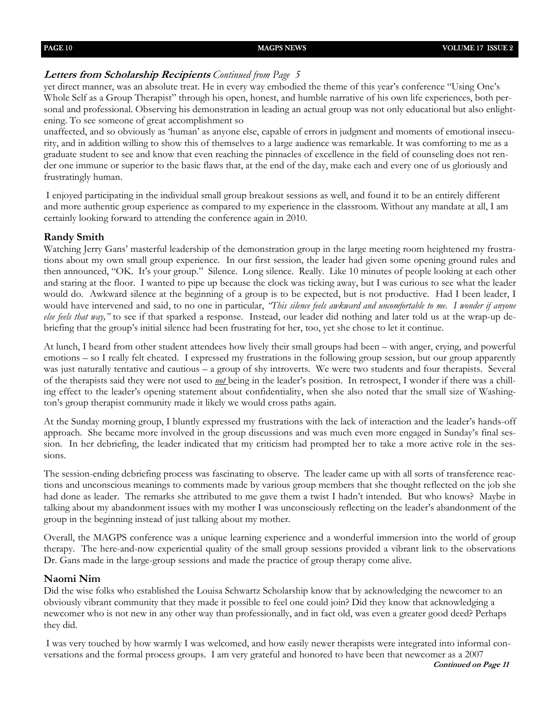### **Letters from Scholarship Recipients** *Continued from Page 5*

yet direct manner, was an absolute treat. He in every way embodied the theme of this year's conference "Using One's Whole Self as a Group Therapist" through his open, honest, and humble narrative of his own life experiences, both personal and professional. Observing his demonstration in leading an actual group was not only educational but also enlightening. To see someone of great accomplishment so

unaffected, and so obviously as 'human' as anyone else, capable of errors in judgment and moments of emotional insecurity, and in addition willing to show this of themselves to a large audience was remarkable. It was comforting to me as a graduate student to see and know that even reaching the pinnacles of excellence in the field of counseling does not render one immune or superior to the basic flaws that, at the end of the day, make each and every one of us gloriously and frustratingly human.

I enjoyed participating in the individual small group breakout sessions as well, and found it to be an entirely different and more authentic group experience as compared to my experience in the classroom. Without any mandate at all, I am certainly looking forward to attending the conference again in 2010.

### **Randy Smith**

Watching Jerry Gans' masterful leadership of the demonstration group in the large meeting room heightened my frustrations about my own small group experience. In our first session, the leader had given some opening ground rules and then announced, "OK. It's your group." Silence. Long silence. Really. Like 10 minutes of people looking at each other and staring at the floor. I wanted to pipe up because the clock was ticking away, but I was curious to see what the leader would do. Awkward silence at the beginning of a group is to be expected, but is not productive. Had I been leader, I would have intervened and said, to no one in particular, *'This silence feels awkward and uncomfortable to me. I wonder if anyone else feels that way,"* to see if that sparked a response. Instead, our leader did nothing and later told us at the wrap-up debriefing that the group's initial silence had been frustrating for her, too, yet she chose to let it continue.

At lunch, I heard from other student attendees how lively their small groups had been – with anger, crying, and powerful emotions – so I really felt cheated. I expressed my frustrations in the following group session, but our group apparently was just naturally tentative and cautious – a group of shy introverts. We were two students and four therapists. Several of the therapists said they were not used to *not* being in the leader's position. In retrospect, I wonder if there was a chilling effect to the leader's opening statement about confidentiality, when she also noted that the small size of Washington's group therapist community made it likely we would cross paths again.

At the Sunday morning group, I bluntly expressed my frustrations with the lack of interaction and the leader's hands-off approach. She became more involved in the group discussions and was much even more engaged in Sunday's final session. In her debriefing, the leader indicated that my criticism had prompted her to take a more active role in the sessions.

The session-ending debriefing process was fascinating to observe. The leader came up with all sorts of transference reactions and unconscious meanings to comments made by various group members that she thought reflected on the job she had done as leader. The remarks she attributed to me gave them a twist I hadn't intended. But who knows? Maybe in talking about my abandonment issues with my mother I was unconsciously reflecting on the leader's abandonment of the group in the beginning instead of just talking about my mother.

Overall, the MAGPS conference was a unique learning experience and a wonderful immersion into the world of group therapy. The here-and-now experiential quality of the small group sessions provided a vibrant link to the observations Dr. Gans made in the large-group sessions and made the practice of group therapy come alive.

### **Naomi Nim**

Did the wise folks who established the Louisa Schwartz Scholarship know that by acknowledging the newcomer to an obviously vibrant community that they made it possible to feel one could join? Did they know that acknowledging a newcomer who is not new in any other way than professionally, and in fact old, was even a greater good deed? Perhaps they did.

I was very touched by how warmly I was welcomed, and how easily newer therapists were integrated into informal conversations and the formal process groups. I am very grateful and honored to have been that newcomer as a 2007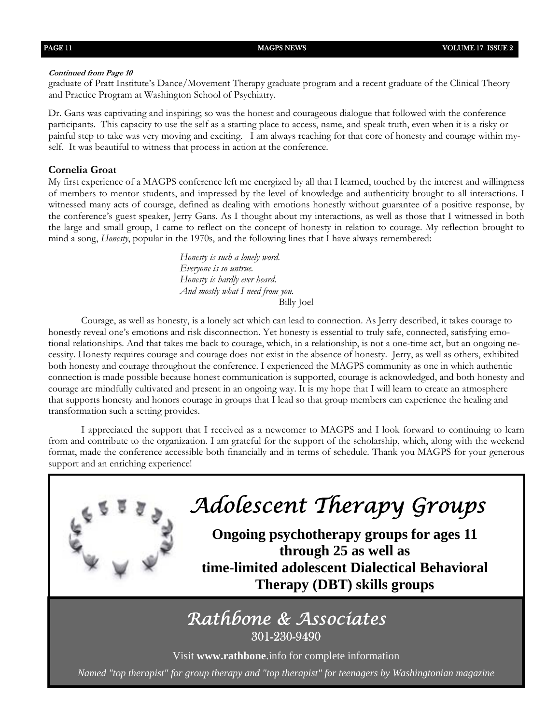### **Continued from Page 10**

graduate of Pratt Institute's Dance/Movement Therapy graduate program and a recent graduate of the Clinical Theory and Practice Program at Washington School of Psychiatry.

Dr. Gans was captivating and inspiring; so was the honest and courageous dialogue that followed with the conference participants. This capacity to use the self as a starting place to access, name, and speak truth, even when it is a risky or painful step to take was very moving and exciting. I am always reaching for that core of honesty and courage within myself. It was beautiful to witness that process in action at the conference.

### **Cornelia Groat**

My first experience of a MAGPS conference left me energized by all that I learned, touched by the interest and willingness of members to mentor students, and impressed by the level of knowledge and authenticity brought to all interactions. I witnessed many acts of courage, defined as dealing with emotions honestly without guarantee of a positive response, by the conference's guest speaker, Jerry Gans. As I thought about my interactions, as well as those that I witnessed in both the large and small group, I came to reflect on the concept of honesty in relation to courage. My reflection brought to mind a song, *Honesty*, popular in the 1970s, and the following lines that I have always remembered:

> *Honesty is such a lonely word. Everyone is so untrue. Honesty is hardly ever heard. And mostly what I need from you.*  Billy Joel

Courage, as well as honesty, is a lonely act which can lead to connection. As Jerry described, it takes courage to honestly reveal one's emotions and risk disconnection. Yet honesty is essential to truly safe, connected, satisfying emotional relationships. And that takes me back to courage, which, in a relationship, is not a one-time act, but an ongoing necessity. Honesty requires courage and courage does not exist in the absence of honesty. Jerry, as well as others, exhibited both honesty and courage throughout the conference. I experienced the MAGPS community as one in which authentic connection is made possible because honest communication is supported, courage is acknowledged, and both honesty and courage are mindfully cultivated and present in an ongoing way. It is my hope that I will learn to create an atmosphere that supports honesty and honors courage in groups that I lead so that group members can experience the healing and transformation such a setting provides.

I appreciated the support that I received as a newcomer to MAGPS and I look forward to continuing to learn from and contribute to the organization. I am grateful for the support of the scholarship, which, along with the weekend format, made the conference accessible both financially and in terms of schedule. Thank you MAGPS for your generous support and an enriching experience!



# *Adolescent Therapy Groups*

**Ongoing psychotherapy groups for ages 11 through 25 as well as time-limited adolescent Dialectical Behavioral Therapy (DBT) skills groups** 

# *Rathbone & Associates*  301-230-9490

Visit **www.rathbone**.info for complete information

*Named "top therapist" for group therapy and "top therapist" for teenagers by Washingtonian magazine*